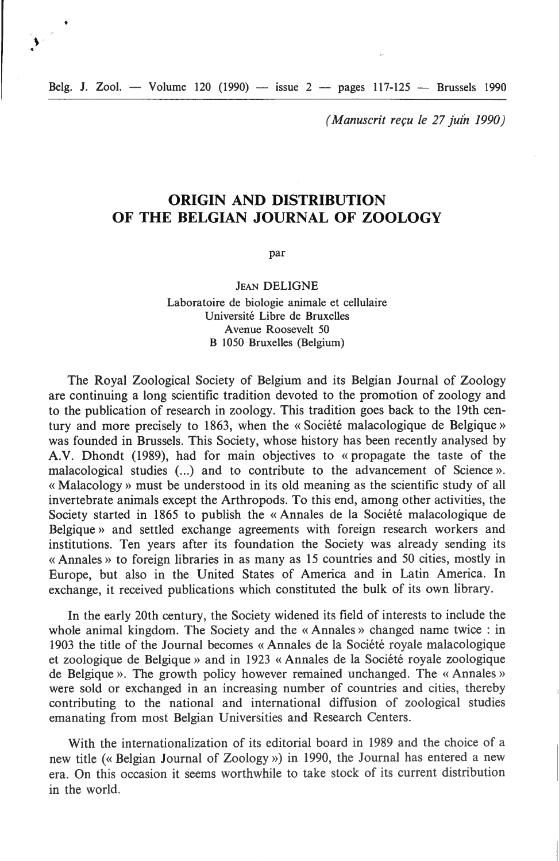Belg. J. Zool. - Volume 120 (1990) - issue  $2$  - pages 117-125 - Brussels 1990

 $\sum_{i=1}^{n}$ 

*(Manuscrit reçu le 27 ju{n 1990)* 

# **ORIGIN AND DISTRIBUTION OF THE BELGIAN JOURNAL OF ZOOLOGY**

par

#### **JEAN DELIGNE**

Laboratoire de biologie animale et cellulaire Université Libre de Bruxelles Avenue Roosevelt 50 B 1050 Bruxelles (Belgium)

The Royal Zoological Society of Belgium and its Belgian Journal of Zoology are continuing a long scientific tradition devoted to the promotion of zoology and to the publication of research in zoology. This tradition goes back to the !9th century and more precisely to 1863, when the « Société malacologique de Belgique » was founded in Brussels. This Society, whose history has been recently analysed by A. V. Dhondt (1989), had for main objectives to « propagate the taste of the malacological studies (...) and to contribute to the advancement of Science». « Malacology » must be understood in its old meaning as the scientific study of all invertebrate animais except the Arthropods. To this end, among other activities, the Society started in 1865 to publish the «Annales de la Société malacologique de Belgique » and settled exchange agreements with foreign research workers and institutions. Ten years after its foundation the Society was already sending its « Annales » to foreign libraries in as many as 15 countries and 50 cities, mostly in Europe, but also in the United States of America and in Latin America. In exchange, it received publications which constituted the bulk of its own library.

In the early 20th century, the Society widened its field of interests to include the whole animal kingdom. The Society and the « Annales » changed name twice : in 1903 the title of the Journal becomes « Annales de la Société royale malacologique et zoologique de Belgique)) and in 1923 « Annales de la Société royale zoologique de Belgique». The growth policy however remained unchanged. The «Annales» were sold or exchanged in an increasing number of countries and cities, thereby contributing to the national and international diffusion of zoological studies emanating from most Belgian Universities and Research Centers.

With the internationalization of its editorial board in 1989 and the choice of a new title (« Belgian Journal of Zoology ») in 1990, the Journal has entered a new era. On this occasion it seems worthwhile to take stock of its current distribution in the world.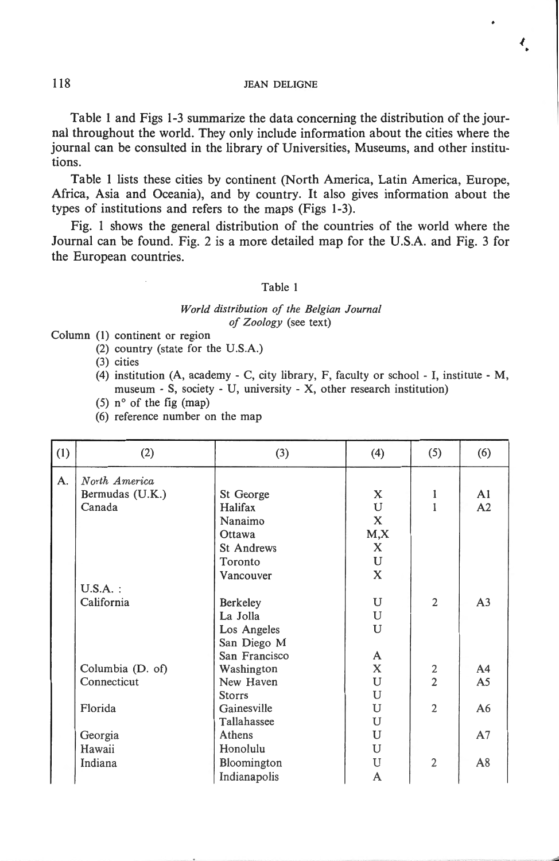$\overline{\mathcal{L}}$ 

Table l and Figs l-3 summarize the data concerning the distribution of the journal throughout the world. They only include information about the cities where the journal can be consulted in the library of Universities, Museums, and other institutions.

Table 1 1ists these cities by continent (North America, Latin America, Europe, Africa, Asia and Oceania), and by country. lt also gives information about the types of institutions and refers to the maps (Figs 1-3).

Fig. 1 shows the general distribution of the countries of the world where the Journal can be found. Fig. 2 is a more detailed map for the U.S.A. and Fig. 3 for the European countries.

### Table 1

#### *World distribution of the Belgian Journal of Z oo/ogy* (see text)

Column (1) continent or region

(2) country (state for the U.S.A.)

(3) cities

- (4) institution  $(A, \text{academy C}, \text{city library}, F, \text{ faculty or school I}, \text{institute M},$ museum - S, society - U, university - X, other research institution)
- (5)  $n^{\circ}$  of the fig (map)
- (6) reference number on the map

| (1) | (2)              | (3)               | (4)          | (5)            | (6)            |
|-----|------------------|-------------------|--------------|----------------|----------------|
| A.  | North America    |                   |              |                |                |
|     | Bermudas (U.K.)  | St George         | X            | 1              | A <sub>1</sub> |
|     | Canada           | Halifax           | U            | 1              | A2             |
|     |                  | Nanaimo           | $\mathbf{x}$ |                |                |
|     |                  | Ottawa            | M, X         |                |                |
|     |                  | <b>St Andrews</b> | X            |                |                |
|     |                  | Toronto           | U            |                |                |
|     |                  | Vancouver         | X            |                |                |
|     | $U.S.A.$ :       |                   |              |                |                |
|     | California       | Berkeley          | U            | $\overline{2}$ | A <sub>3</sub> |
|     |                  | La Jolla          | U            |                |                |
|     |                  | Los Angeles       | U            |                |                |
|     |                  | San Diego M       |              |                |                |
|     |                  | San Francisco     | A            |                |                |
|     | Columbia (D. of) | Washington        | X            | $\frac{2}{2}$  | A <sub>4</sub> |
|     | Connecticut      | New Haven         | U            |                | A <sub>5</sub> |
|     |                  | <b>Storrs</b>     | ${\bf U}$    |                |                |
|     | Florida          | Gainesville       | U            | $\overline{2}$ | A6             |
|     |                  | Tallahassee       | U            |                |                |
|     | Georgia          | Athens            | U            |                | A <sub>7</sub> |
|     | Hawaii           | Honolulu          | U            |                |                |
|     | Indiana          | Bloomington       | U            | $\overline{2}$ | A8             |
|     |                  | Indianapolis      | A            |                |                |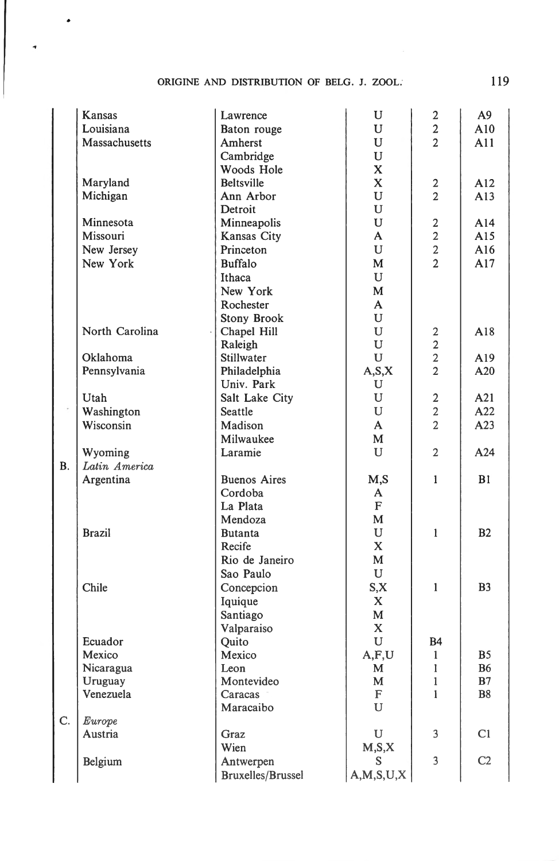## ORIGINE AND DISTRIBUTION OF BELG. J. ZOOL. 119

 $\overline{\phantom{a}}$ 

|    | Kansas         | Lawrence                 | U             | 2              | A9              |
|----|----------------|--------------------------|---------------|----------------|-----------------|
|    | Louisiana      | Baton rouge              | U             | $\overline{2}$ | A10             |
|    | Massachusetts  | Amherst                  | U             | $\overline{2}$ | A11             |
|    |                | Cambridge                | $\mathbf U$   |                |                 |
|    |                | Woods Hole               | $\mathbf x$   |                |                 |
|    | Maryland       | <b>Beltsville</b>        | $\mathbf{X}$  | 2              | A12             |
|    | Michigan       | Ann Arbor                | U             | $\overline{2}$ | A13             |
|    |                | Detroit                  | U             |                |                 |
|    | Minnesota      | Minneapolis              | $\mathbf U$   | $\mathbf{2}$   | A14             |
|    | Missouri       | Kansas City              | A             | $\overline{2}$ | A15             |
|    | New Jersey     | Princeton                | U             | $\overline{2}$ | A16             |
|    | New York       | <b>Buffalo</b>           | M             | $\overline{2}$ | A17             |
|    |                | Ithaca                   | U             |                |                 |
|    |                | New York                 | M             |                |                 |
|    |                | Rochester                | A             |                |                 |
|    |                | Stony Brook              | U             |                |                 |
|    | North Carolina | Chapel Hill              | U             | $\mathbf{2}$   | A18             |
|    |                | Raleigh                  | U             | $\overline{2}$ |                 |
|    | Oklahoma       | Stillwater               | U             | $\overline{2}$ | A <sub>19</sub> |
|    | Pennsylvania   | Philadelphia             | A, S, X       | $\overline{2}$ | A20             |
|    |                | Univ. Park               | U             |                |                 |
|    | Utah           | Salt Lake City           | U             | $\overline{2}$ | A21             |
|    | Washington     | Seattle                  | U             | $\overline{2}$ | A22             |
|    | Wisconsin      | Madison                  | A             | $\overline{2}$ | A23             |
|    |                | Milwaukee                |               |                |                 |
|    |                |                          | М<br>U        | $\overline{2}$ |                 |
|    | Wyoming        | Laramie                  |               |                | A24             |
| B. | Latin America  |                          |               |                |                 |
|    | Argentina      | <b>Buenos Aires</b>      | M,S           | 1              | B1              |
|    |                | Cordoba                  | A             |                |                 |
|    |                | La Plata                 | F             |                |                 |
|    |                | Mendoza                  | M             |                |                 |
|    | <b>Brazil</b>  | <b>Butanta</b>           | U             | 1              | B2              |
|    |                | Recife                   | $\mathbf X$   |                |                 |
|    |                | Rio de Janeiro           | M             |                |                 |
|    |                | Sao Paulo                | U             |                |                 |
|    | Chile          | Concepcion               | S, X          | 1              | B <sub>3</sub>  |
|    |                | Iquique                  | $\mathbf{X}$  |                |                 |
|    |                | Santiago                 | $\mathbf{M}$  |                |                 |
|    |                | Valparaiso               | $\mathbf X$   |                |                 |
|    | Ecuador        | Quito                    | U             | B4             |                 |
|    | Mexico         | Mexico                   | A, F, U       | 1              | <b>B5</b>       |
|    | Nicaragua      | Leon                     | M             | $\mathbf{1}$   | <b>B6</b>       |
|    | Uruguay        | Montevideo               | M             | 1              | B7              |
|    | Venezuela      | Caracas                  | ${\bf F}$     | 1              | <b>B8</b>       |
|    |                | Maracaibo                | U             |                |                 |
| Ċ. | Europe         |                          |               |                |                 |
|    | Austria        | Graz                     | U             | 3              | C1              |
|    |                | Wien                     | M, S, X       |                |                 |
|    | Belgium        | Antwerpen                | S             | 3              | C2              |
|    |                | <b>Bruxelles/Brussel</b> | A, M, S, U, X |                |                 |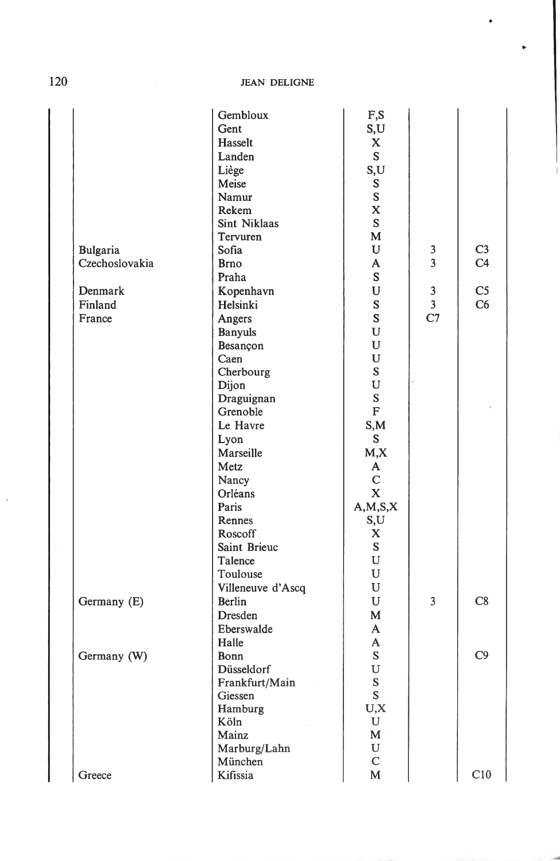120 JEAN DELIGNE

|                 | Gembloux          | F,S          |                                         |                |
|-----------------|-------------------|--------------|-----------------------------------------|----------------|
|                 | Gent              | S,U          |                                         |                |
|                 | Hasselt           | X            |                                         |                |
|                 | Landen            | S            |                                         |                |
|                 | Liège             | S,U          |                                         |                |
|                 | Meise             | S            |                                         |                |
|                 | Namur             | $\mathbf S$  |                                         |                |
|                 | Rekem             | $\mathbf X$  |                                         |                |
|                 | Sint Niklaas      | S            |                                         |                |
|                 | Tervuren          | $\mathbf M$  |                                         |                |
| <b>Bulgaria</b> | Sofia             | U            | 3                                       | C <sub>3</sub> |
| Czechoslovakia  | <b>Brno</b>       | A            | 3                                       | C <sub>4</sub> |
|                 | Praha             | ${\bf S}$    |                                         |                |
| Denmark         |                   | U            |                                         | C <sub>5</sub> |
|                 | Kopenhavn         |              | $\mathbf{3}$<br>$\overline{\mathbf{3}}$ | C6             |
| Finland         | Helsinki          | S            | C7                                      |                |
| France          | Angers            | S            |                                         |                |
|                 | <b>Banyuls</b>    | ${\bf U}$    |                                         |                |
|                 | Besançon          | $\mathbf U$  |                                         |                |
|                 | Caen              | ${\bf U}$    |                                         |                |
|                 | Cherbourg         | S            |                                         |                |
|                 | Dijon             | $\mathbf U$  |                                         |                |
|                 | Draguignan        | S            |                                         |                |
|                 | Grenoble          | $\rm F$      |                                         |                |
|                 | Le Havre          | S, M         |                                         |                |
|                 | Lyon              | S            |                                         |                |
|                 | Marseille         | M, X         |                                         |                |
|                 | Metz              | A            |                                         |                |
|                 | Nancy             | ${\bf C}$    |                                         |                |
|                 | Orléans           | $\mathbf X$  |                                         |                |
|                 | Paris             | A, M, S, X   |                                         |                |
|                 | Rennes            | S,U          |                                         |                |
|                 | Roscoff           | $\mathbf X$  |                                         |                |
|                 | Saint Brieuc      | S            |                                         |                |
|                 | Talence           | U            |                                         |                |
|                 | Toulouse          | ${\bf U}$    |                                         |                |
|                 | Villeneuve d'Ascq | ${\bf U}$    |                                         |                |
| Germany (E)     | Berlin            | U            | $\overline{3}$                          | C8             |
|                 | <b>Dresden</b>    | M            |                                         |                |
|                 | Eberswalde        | $\mathbf{A}$ |                                         |                |
|                 | Halle             | A            |                                         |                |
| Germany (W)     | Bonn              | ${\bf S}$    |                                         | C9             |
|                 | Düsseldorf        | $\mathbf U$  |                                         |                |
|                 | Frankfurt/Main    | ${\bf S}$    |                                         |                |
|                 | Giessen           | $\mathbf S$  |                                         |                |
|                 | Hamburg           | U, X         |                                         |                |
|                 | Köln              | ${\bf U}$    |                                         |                |
|                 | Mainz             | $\mathbf M$  |                                         |                |
|                 | Marburg/Lahn      | $\mathbf U$  |                                         |                |
|                 | München           | ${\bf C}$    |                                         |                |
| Greece          | Kifissia          | $\mathbf M$  |                                         | C10            |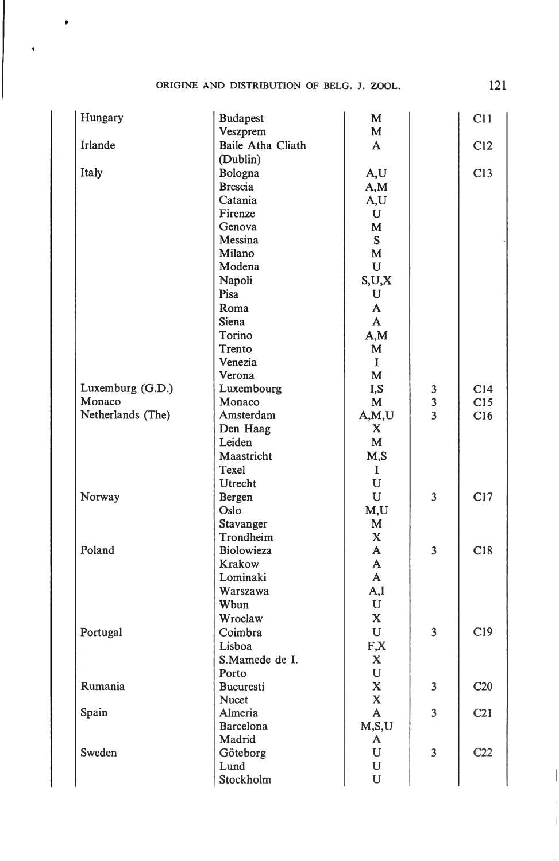| Hungary           | <b>Budapest</b>               | M                |                         | C11             |
|-------------------|-------------------------------|------------------|-------------------------|-----------------|
|                   | Veszprem                      | M                |                         |                 |
| Irlande           | Baile Atha Cliath<br>(Dublin) | $\mathbf{A}$     |                         | C12             |
| Italy             | Bologna                       | A,U              |                         | C13             |
|                   | <b>Brescia</b>                | A,M              |                         |                 |
|                   | Catania                       | A, U             |                         |                 |
|                   | Firenze                       | $\mathbf U$      |                         |                 |
|                   | Genova                        | M                |                         |                 |
|                   | Messina                       | S                |                         |                 |
|                   | Milano                        | M                |                         |                 |
|                   | Modena                        | U                |                         |                 |
|                   | Napoli                        | S,U,X            |                         |                 |
|                   | Pisa                          | U                |                         |                 |
|                   | Roma                          | $\mathbf{A}$     |                         |                 |
|                   | Siena                         | $\mathbf{A}$     |                         |                 |
|                   | Torino                        | A,M              |                         |                 |
|                   | Trento                        | M                |                         |                 |
|                   | Venezia                       | $\bf{I}$         |                         |                 |
|                   | Verona                        | M                |                         |                 |
| Luxemburg (G.D.)  | Luxembourg                    | I,S              |                         | C14             |
| Monaco            | Monaco                        | M                | $\frac{3}{3}$           | C15             |
| Netherlands (The) | Amsterdam                     | A, M, U          | $\overline{\mathbf{3}}$ | C16             |
|                   | Den Haag                      | X                |                         |                 |
|                   | Leiden                        | M                |                         |                 |
|                   | Maastricht                    |                  |                         |                 |
|                   | Texel                         | M,S              |                         |                 |
|                   |                               | I<br>$\mathbf U$ |                         |                 |
|                   | Utrecht                       | $\mathbf U$      | 3                       | C17             |
| Norway            | Bergen<br>Oslo                |                  |                         |                 |
|                   |                               | M,U<br>M         |                         |                 |
|                   | Stavanger<br>Trondheim        | X                |                         |                 |
| Poland            | Biolowieza                    | A                | 3                       |                 |
|                   |                               | A                |                         | C18             |
|                   | Krakow                        | $\mathbf{A}$     |                         |                 |
|                   | Lominaki                      |                  |                         |                 |
|                   | Warszawa                      | A,I              |                         |                 |
|                   | Wbun                          | U                |                         |                 |
|                   | Wroclaw                       | $\mathbf X$      |                         |                 |
| Portugal          | Coimbra                       | $\mathbf U$      | 3                       | C19             |
|                   | Lisboa                        | $F_{\mathbf{X}}$ |                         |                 |
|                   | S.Mamede de I.                | $\mathbf X$      |                         |                 |
|                   | Porto                         | $\mathbf U$      |                         |                 |
| Rumania           | Bucuresti                     | X                | 3                       | C <sub>20</sub> |
|                   | <b>Nucet</b>                  | $\mathbf X$      |                         |                 |
| Spain             | Almeria                       | $\mathbf A$      | $\overline{\mathbf{3}}$ | C <sub>21</sub> |
|                   | Barcelona                     | M,S,U            |                         |                 |
|                   | Madrid                        | A                |                         |                 |
| Sweden            | Göteborg                      | ${\bf U}$        | 3                       | C <sub>22</sub> |
|                   | Lund                          | $\mathbf U$      |                         |                 |
|                   | Stockholm                     | U                |                         |                 |

 $\overline{\phantom{a}}$ 

 $\downarrow$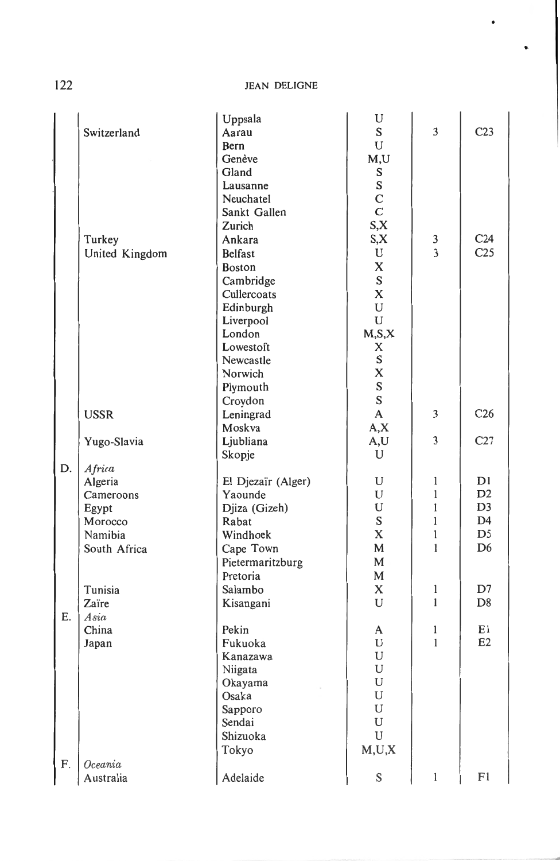122 JEAN DELIGNE

|            |                | Uppsala            | U                |               |                 |
|------------|----------------|--------------------|------------------|---------------|-----------------|
|            | Switzerland    | Aarau              | S                | 3             | C <sub>23</sub> |
|            |                | Bern               | U                |               |                 |
|            |                | Genève             | M,U              |               |                 |
|            |                | Gland              | S                |               |                 |
|            |                | Lausanne           | ${\bf S}$        |               |                 |
|            |                | Neuchatel          |                  |               |                 |
|            |                | Sankt Gallen       | $\rm\frac{C}{C}$ |               |                 |
|            |                | Zurich             | S, X             |               |                 |
|            | Turkey         | Ankara             | S, X             |               | C <sub>24</sub> |
|            | United Kingdom | <b>Belfast</b>     | U                | $\frac{3}{3}$ | C <sub>25</sub> |
|            |                | <b>Boston</b>      | $\mathbf x$      |               |                 |
|            |                | Cambridge          | S                |               |                 |
|            |                | Cullercoats        | $\mathbf x$      |               |                 |
|            |                | Edinburgh          | U                |               |                 |
|            |                | Liverpool          | ${\bf U}$        |               |                 |
|            |                | London             | M, S, X          |               |                 |
|            |                | Lowestoft          | X                |               |                 |
|            |                | Newcastle          | S                |               |                 |
|            |                | Norwich            | X                |               |                 |
|            |                | Plymouth           | $\bf S$          |               |                 |
|            |                | Croydon            | $\bf S$          |               |                 |
|            | <b>USSR</b>    | Leningrad          | $\mathbf{A}$     | 3             | C <sub>26</sub> |
|            |                | Moskva             | A, X             |               |                 |
|            | Yugo-Slavia    | Ljubliana          | A,U              | 3             | C27             |
|            |                | Skopje             | U                |               |                 |
| D.         | Africa         |                    |                  |               |                 |
|            | Algeria        | El Djezaïr (Alger) | U                | 1             | D1              |
|            | Cameroons      | Yaounde            | U                | $\mathbf{1}$  | D <sub>2</sub>  |
|            | Egypt          | Djiza (Gizeh)      | ${\bf U}$        | 1             | D <sub>3</sub>  |
|            | Morocco        | Rabat              | ${\bf S}$        | $\mathbf{1}$  | D <sub>4</sub>  |
|            | Namibia        | Windhoek           | $\mathbf x$      | 1             | D <sub>5</sub>  |
|            | South Africa   | Cape Town          | M                | 1             | D <sub>6</sub>  |
|            |                | Pietermaritzburg   | M                |               |                 |
|            |                | Pretoria           | M                |               |                 |
|            | Tunisia        | Salambo            | X                | $\mathbf{1}$  | D7              |
|            | Zaïre          | Kisangani          | U                | 1             | D <sub>8</sub>  |
| Ε.         | Asia           |                    |                  |               |                 |
|            |                | Pekin              | A                | $\mathbf{1}$  | E1              |
|            | China          | Fukuoka            | U                | $\mathbf{1}$  | E2              |
|            | Japan          | Kanazawa           | U                |               |                 |
|            |                |                    | U                |               |                 |
|            |                | Niigata            | U                |               |                 |
|            |                | Okayama<br>Osaka   | $\mathbf U$      |               |                 |
|            |                | Sapporo            | $\mathbf U$      |               |                 |
|            |                | Sendai             | ${\bf U}$        |               |                 |
|            |                | Shizuoka           | $\mathbf U$      |               |                 |
|            |                |                    | M,U,X            |               |                 |
|            |                | Tokyo              |                  |               |                 |
| ${\bf F}.$ | Oceania        |                    | $\mathbf S$      | $\mathbf{l}$  | ${\rm F}1$      |
|            | Australia      | Adelaide           |                  |               |                 |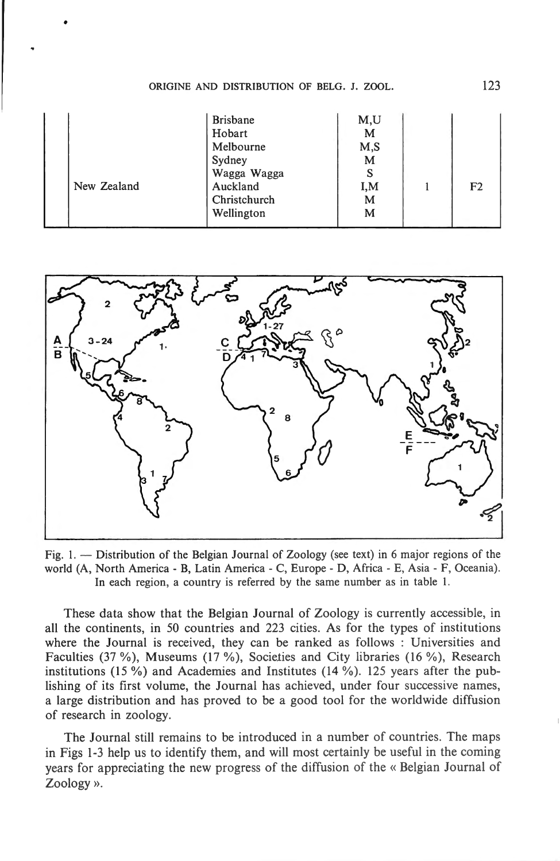|             | <b>Brisbane</b> | M,U |                |
|-------------|-----------------|-----|----------------|
|             | Hobart          | M   |                |
|             | Melbourne       | M,S |                |
|             | Sydney          | м   |                |
|             | Wagga Wagga     |     |                |
| New Zealand | Auckland        | I.M | F <sub>2</sub> |
|             | Christchurch    | M   |                |
|             | Wellington      | M   |                |
|             |                 |     |                |



Fig. 1.  $-$  Distribution of the Belgian Journal of Zoology (see text) in 6 major regions of the world (A, North America - B, Latin America - C, Europe - D, Africa - E, Asia - F, Oceania). In each region, a country is referred by the same number as in table 1.

These data show that the Belgian Journal of Zoology is currently accessible, in ali the continents, in 50 countries and 223 cities. As for the types of institutions where the Journal is received, they can be ranked as follows : Universities and Faculties (37 %), Museums (17 %), Societies and City libraries (16 %), Research institutions (15 %) and Academies and Institutes (14 %). 125 years after the publishing of its first volume, the Journal has achieved, under four successive names, a large distribution and has proved to be a good tool for the worldwide diffusion of research in zoology.

The Journal still remains to be introduced in a number of countries. The maps in Figs 1-3 help us to identify them, and will most certainly be useful in the coming years for appreciating the new progress of the diffusion of the « Belgian Journal of Zoology ».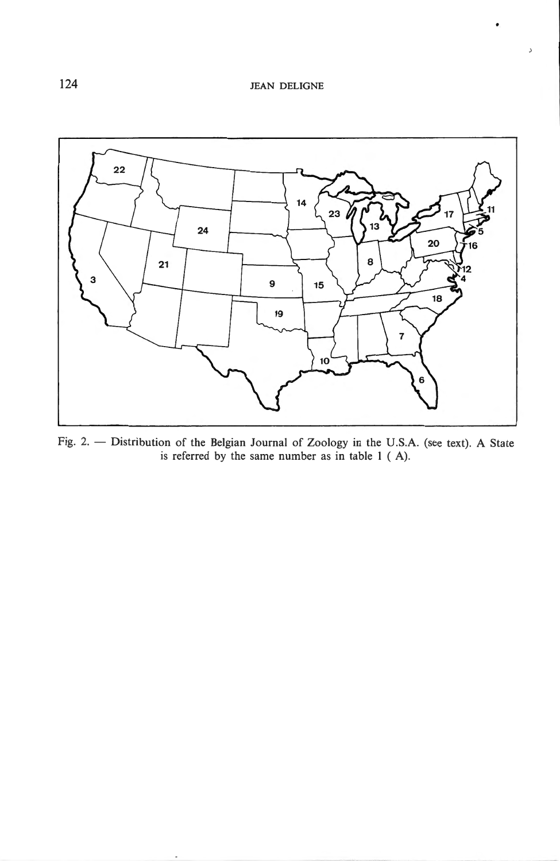..



Fig. 2. - Distribution of the Belgian Journal of Zoology in the U.S.A. (see text). A State is referred by the same number as in table 1 ( A).